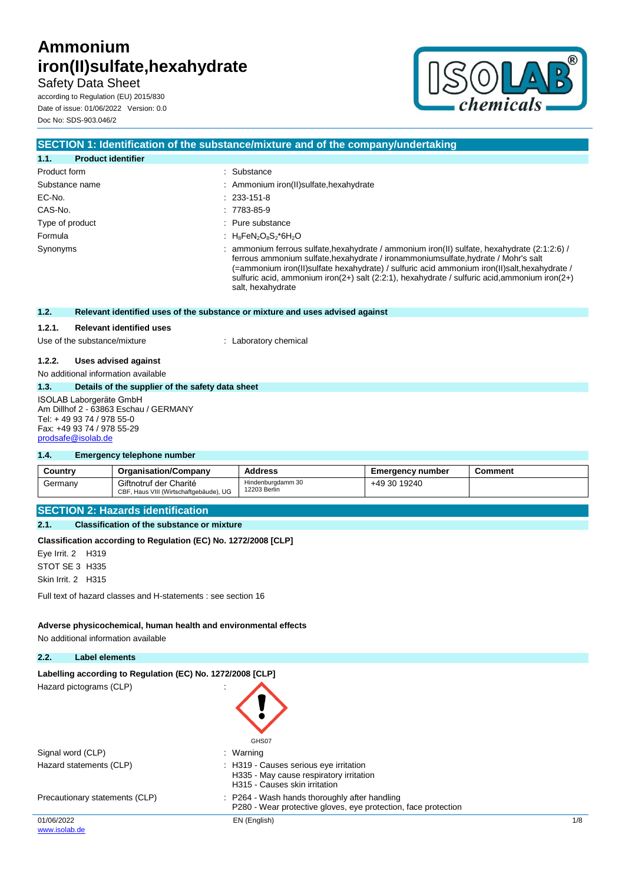Safety Data Sheet according to Regulation (EU) 2015/830 Date of issue: 01/06/2022 Version: 0.0 Doc No: SDS-903.046/2



## **SECTION 1: Identification of the substance/mixture and of the company/undertaking 1.1. Product identifier** Product form **: Substance** Substance name  $\qquad \qquad \qquad$  : Ammonium iron(II)sulfate,hexahydrate EC-No. : 233-151-8 CAS-No. : 7783-85-9 Type of product in the substance in the substance of product in the substance in the substance Formula  $H_8FeN_2O_8S_2*6H_2O$ Synonyms **: ammonium ferrous sulfate,hexahydrate** / ammonium iron(II) sulfate, hexahydrate (2:1:2:6) / ferrous ammonium sulfate,hexahydrate / ironammoniumsulfate,hydrate / Mohr's salt (=ammonium iron(II)sulfate hexahydrate) / sulfuric acid ammonium iron(II)salt,hexahydrate / sulfuric acid, ammonium iron(2+) salt (2:2:1), hexahydrate / sulfuric acid,ammonium iron(2+) salt, hexahydrate **1.2. Relevant identified uses of the substance or mixture and uses advised against 1.2.1. Relevant identified uses** Use of the substance/mixture : Laboratory chemical **1.2.2. Uses advised against** No additional information available

## **1.3. Details of the supplier of the safety data sheet**

ISOLAB Laborgeräte GmbH

Am Dillhof 2 - 63863 Eschau / GERMANY Tel: + 49 93 74 / 978 55-0 Fax: +49 93 74 / 978 55-29 [prodsafe@isolab.de](mailto:prodsafe@isolab.de)

#### **1.4. Emergency telephone number**

| Country | <b>Organisation/Company</b>                                      | <b>Address</b>                    | Emergency number | Comment |
|---------|------------------------------------------------------------------|-----------------------------------|------------------|---------|
| Germanv | Giftnotruf der Charité<br>CBF, Haus VIII (Wirtschaftgebäude), UG | Hindenburgdamm 30<br>12203 Berlin | +49 30 19240     |         |

## **SECTION 2: Hazards identification**

## **2.1. Classification of the substance or mixture**

#### **Classification according to Regulation (EC) No. 1272/2008 [CLP]**

Eye Irrit. 2 H319 STOT SE 3 H335

Skin Irrit. 2 H315

Full text of hazard classes and H-statements : see section 16

### **Adverse physicochemical, human health and environmental effects**

No additional information available

## **2.2. Label elements**

| Labelling according to Regulation (EC) No. 1272/2008 [CLP] |                                                                                                                    |              |
|------------------------------------------------------------|--------------------------------------------------------------------------------------------------------------------|--------------|
| Hazard pictograms (CLP)                                    | ٠<br>GHS07                                                                                                         |              |
| Signal word (CLP)                                          | : Warning                                                                                                          |              |
| Hazard statements (CLP)                                    | : H319 - Causes serious eye irritation<br>H335 - May cause respiratory irritation<br>H315 - Causes skin irritation |              |
| Precautionary statements (CLP)                             | : P264 - Wash hands thoroughly after handling<br>P280 - Wear protective gloves, eye protection, face protection    |              |
| 01/06/2022                                                 | EN (English)                                                                                                       | $1/\epsilon$ |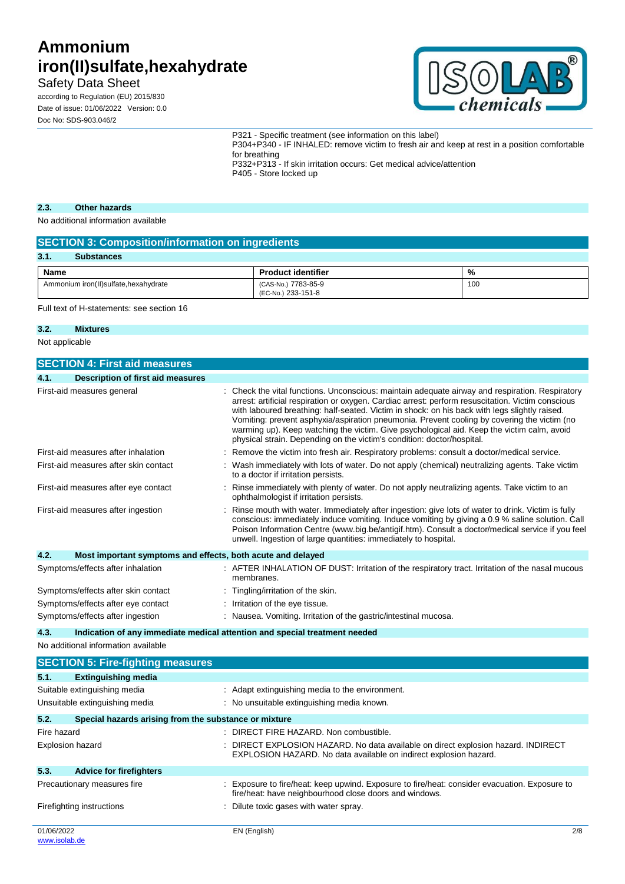Safety Data Sheet

according to Regulation (EU) 2015/830 Date of issue: 01/06/2022 Version: 0.0 Doc No: SDS-903.046/2



P321 - Specific treatment (see information on this label)

P304+P340 - IF INHALED: remove victim to fresh air and keep at rest in a position comfortable for breathing

P332+P313 - If skin irritation occurs: Get medical advice/attention

P405 - Store locked up

## **2.3. Other hazards**

No additional information available

| <b>SECTION 3: Composition/information on ingredients</b> |                                           |     |
|----------------------------------------------------------|-------------------------------------------|-----|
| 3.1.<br><b>Substances</b>                                |                                           |     |
| Name                                                     | <b>Product identifier</b>                 | %   |
| Ammonium iron(II) sulfate, hexahydrate                   | (CAS-No.) 7783-85-9<br>(EC-No.) 233-151-8 | 100 |

Full text of H-statements: see section 16

#### **3.2. Mixtures**

Not applicable

| <b>SECTION 4: First aid measures</b>                                |                                                                                                                                                                                                                                                                                                                                                                                                                                                                                                                                                                            |
|---------------------------------------------------------------------|----------------------------------------------------------------------------------------------------------------------------------------------------------------------------------------------------------------------------------------------------------------------------------------------------------------------------------------------------------------------------------------------------------------------------------------------------------------------------------------------------------------------------------------------------------------------------|
| 4.1.<br>Description of first aid measures                           |                                                                                                                                                                                                                                                                                                                                                                                                                                                                                                                                                                            |
| First-aid measures general                                          | Check the vital functions. Unconscious: maintain adequate airway and respiration. Respiratory<br>arrest: artificial respiration or oxygen. Cardiac arrest: perform resuscitation. Victim conscious<br>with laboured breathing: half-seated. Victim in shock: on his back with legs slightly raised.<br>Vomiting: prevent asphyxia/aspiration pneumonia. Prevent cooling by covering the victim (no<br>warming up). Keep watching the victim. Give psychological aid. Keep the victim calm, avoid<br>physical strain. Depending on the victim's condition: doctor/hospital. |
| First-aid measures after inhalation                                 | Remove the victim into fresh air. Respiratory problems: consult a doctor/medical service.                                                                                                                                                                                                                                                                                                                                                                                                                                                                                  |
| First-aid measures after skin contact                               | Wash immediately with lots of water. Do not apply (chemical) neutralizing agents. Take victim<br>to a doctor if irritation persists.                                                                                                                                                                                                                                                                                                                                                                                                                                       |
| First-aid measures after eye contact                                | Rinse immediately with plenty of water. Do not apply neutralizing agents. Take victim to an<br>ophthalmologist if irritation persists.                                                                                                                                                                                                                                                                                                                                                                                                                                     |
| First-aid measures after ingestion                                  | Rinse mouth with water. Immediately after ingestion: give lots of water to drink. Victim is fully<br>conscious: immediately induce vomiting. Induce vomiting by giving a 0.9 % saline solution. Call<br>Poison Information Centre (www.big.be/antigif.htm). Consult a doctor/medical service if you feel<br>unwell. Ingestion of large quantities: immediately to hospital.                                                                                                                                                                                                |
| 4.2.<br>Most important symptoms and effects, both acute and delayed |                                                                                                                                                                                                                                                                                                                                                                                                                                                                                                                                                                            |
| Symptoms/effects after inhalation                                   | : AFTER INHALATION OF DUST: Irritation of the respiratory tract. Irritation of the nasal mucous<br>membranes.                                                                                                                                                                                                                                                                                                                                                                                                                                                              |
| Symptoms/effects after skin contact                                 | Tingling/irritation of the skin.                                                                                                                                                                                                                                                                                                                                                                                                                                                                                                                                           |
| Symptoms/effects after eye contact                                  | Irritation of the eye tissue.                                                                                                                                                                                                                                                                                                                                                                                                                                                                                                                                              |
| Symptoms/effects after ingestion                                    | Nausea. Vomiting. Irritation of the gastric/intestinal mucosa.                                                                                                                                                                                                                                                                                                                                                                                                                                                                                                             |
| 4.3.                                                                | Indication of any immediate medical attention and special treatment needed                                                                                                                                                                                                                                                                                                                                                                                                                                                                                                 |
| No additional information available                                 |                                                                                                                                                                                                                                                                                                                                                                                                                                                                                                                                                                            |
| <b>SECTION 5: Fire-fighting measures</b>                            |                                                                                                                                                                                                                                                                                                                                                                                                                                                                                                                                                                            |
| <b>Extinguishing media</b><br>5.1.                                  |                                                                                                                                                                                                                                                                                                                                                                                                                                                                                                                                                                            |
| Suitable extinguishing media                                        | Adapt extinguishing media to the environment.                                                                                                                                                                                                                                                                                                                                                                                                                                                                                                                              |
| Unsuitable extinguishing media                                      | : No unsuitable extinguishing media known.                                                                                                                                                                                                                                                                                                                                                                                                                                                                                                                                 |
| 5.2.<br>Special hazards arising from the substance or mixture       |                                                                                                                                                                                                                                                                                                                                                                                                                                                                                                                                                                            |
| Fire hazard                                                         | : DIRECT FIRE HAZARD. Non combustible.                                                                                                                                                                                                                                                                                                                                                                                                                                                                                                                                     |
| <b>Explosion hazard</b>                                             | DIRECT EXPLOSION HAZARD. No data available on direct explosion hazard. INDIRECT<br>EXPLOSION HAZARD. No data available on indirect explosion hazard.                                                                                                                                                                                                                                                                                                                                                                                                                       |
| 5.3.<br><b>Advice for firefighters</b>                              |                                                                                                                                                                                                                                                                                                                                                                                                                                                                                                                                                                            |
| Precautionary measures fire                                         | : Exposure to fire/heat: keep upwind. Exposure to fire/heat: consider evacuation. Exposure to<br>fire/heat: have neighbourhood close doors and windows.                                                                                                                                                                                                                                                                                                                                                                                                                    |
| Firefighting instructions                                           | Dilute toxic gases with water spray.                                                                                                                                                                                                                                                                                                                                                                                                                                                                                                                                       |
| 01/06/2022<br>www.isolab.de                                         | EN (English)<br>2/8                                                                                                                                                                                                                                                                                                                                                                                                                                                                                                                                                        |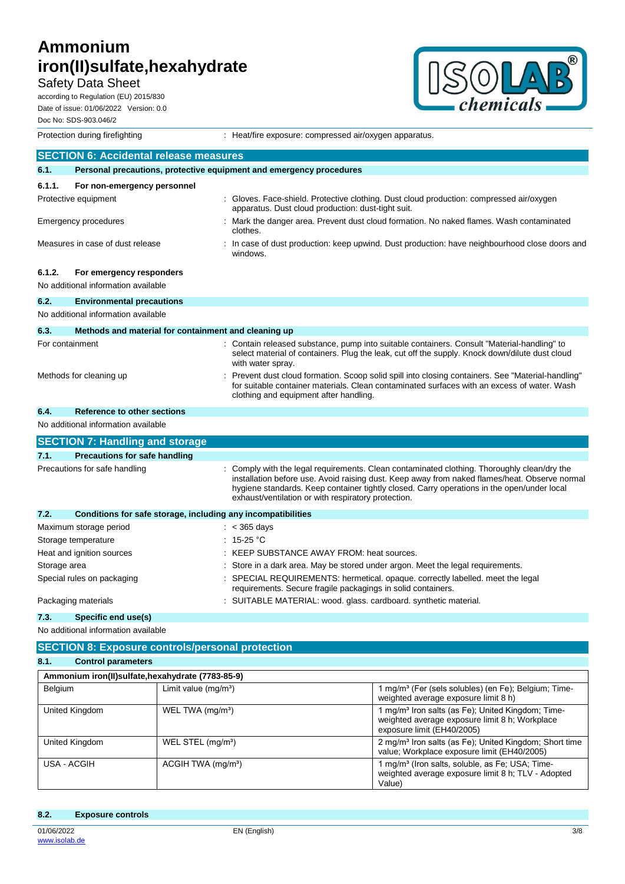Safety Data Sheet

according to Regulation (EU) 2015/830 Date of issue: 01/06/2022 Version: 0.0 Doc No: SDS-903.046/2



|                                               | Protection during firefighting                               | : Heat/fire exposure: compressed air/oxygen apparatus.                                                                                                                                                                                                                                                                                            |
|-----------------------------------------------|--------------------------------------------------------------|---------------------------------------------------------------------------------------------------------------------------------------------------------------------------------------------------------------------------------------------------------------------------------------------------------------------------------------------------|
| <b>SECTION 6: Accidental release measures</b> |                                                              |                                                                                                                                                                                                                                                                                                                                                   |
| 6.1.                                          |                                                              | Personal precautions, protective equipment and emergency procedures                                                                                                                                                                                                                                                                               |
| 6.1.1.                                        | For non-emergency personnel                                  |                                                                                                                                                                                                                                                                                                                                                   |
|                                               | Protective equipment                                         | : Gloves. Face-shield. Protective clothing. Dust cloud production: compressed air/oxygen<br>apparatus. Dust cloud production: dust-tight suit.                                                                                                                                                                                                    |
|                                               | Emergency procedures                                         | : Mark the danger area. Prevent dust cloud formation. No naked flames. Wash contaminated<br>clothes.                                                                                                                                                                                                                                              |
|                                               | Measures in case of dust release                             | : In case of dust production: keep upwind. Dust production: have neighbourhood close doors and<br>windows.                                                                                                                                                                                                                                        |
| 6.1.2.                                        | For emergency responders                                     |                                                                                                                                                                                                                                                                                                                                                   |
|                                               | No additional information available                          |                                                                                                                                                                                                                                                                                                                                                   |
| 6.2.                                          | <b>Environmental precautions</b>                             |                                                                                                                                                                                                                                                                                                                                                   |
|                                               | No additional information available                          |                                                                                                                                                                                                                                                                                                                                                   |
| 6.3.                                          | Methods and material for containment and cleaning up         |                                                                                                                                                                                                                                                                                                                                                   |
|                                               | For containment                                              | : Contain released substance, pump into suitable containers. Consult "Material-handling" to<br>select material of containers. Plug the leak, cut off the supply. Knock down/dilute dust cloud<br>with water spray.                                                                                                                                |
|                                               | Methods for cleaning up                                      | : Prevent dust cloud formation. Scoop solid spill into closing containers. See "Material-handling"<br>for suitable container materials. Clean contaminated surfaces with an excess of water. Wash<br>clothing and equipment after handling.                                                                                                       |
| 6.4.                                          | Reference to other sections                                  |                                                                                                                                                                                                                                                                                                                                                   |
|                                               | No additional information available                          |                                                                                                                                                                                                                                                                                                                                                   |
|                                               | <b>SECTION 7: Handling and storage</b>                       |                                                                                                                                                                                                                                                                                                                                                   |
| 7.1.                                          | <b>Precautions for safe handling</b>                         |                                                                                                                                                                                                                                                                                                                                                   |
|                                               | Precautions for safe handling                                | : Comply with the legal requirements. Clean contaminated clothing. Thoroughly clean/dry the<br>installation before use. Avoid raising dust. Keep away from naked flames/heat. Observe normal<br>hygiene standards. Keep container tightly closed. Carry operations in the open/under local<br>exhaust/ventilation or with respiratory protection. |
| 7.2.                                          | Conditions for safe storage, including any incompatibilities |                                                                                                                                                                                                                                                                                                                                                   |
|                                               | Maximum storage period                                       | $: < 365$ days                                                                                                                                                                                                                                                                                                                                    |
|                                               | Storage temperature                                          | $: 15-25 °C$                                                                                                                                                                                                                                                                                                                                      |
|                                               | Heat and ignition sources                                    | : KEEP SUBSTANCE AWAY FROM: heat sources.                                                                                                                                                                                                                                                                                                         |
| Storage area                                  |                                                              | : Store in a dark area. May be stored under argon. Meet the legal requirements.                                                                                                                                                                                                                                                                   |
|                                               | Special rules on packaging                                   | SPECIAL REQUIREMENTS: hermetical. opaque. correctly labelled. meet the legal<br>requirements. Secure fragile packagings in solid containers.                                                                                                                                                                                                      |
|                                               | Packaging materials                                          | : SUITABLE MATERIAL: wood. glass. cardboard. synthetic material.                                                                                                                                                                                                                                                                                  |
|                                               |                                                              |                                                                                                                                                                                                                                                                                                                                                   |

## **7.3. Specific end use(s)**

No additional information available

## **SECTION 8: Exposure controls/personal protection**

**8.1. Control parameters**

| Ammonium iron(II)sulfate, hexahydrate (7783-85-9) |                                |                                                                                                                                               |
|---------------------------------------------------|--------------------------------|-----------------------------------------------------------------------------------------------------------------------------------------------|
| Belgium                                           | Limit value $(mq/m^3)$         | 1 mg/m <sup>3</sup> (Fer (sels solubles) (en Fe); Belgium; Time-<br>weighted average exposure limit 8 h)                                      |
| United Kingdom                                    | WEL TWA (mg/m <sup>3</sup> )   | 1 mg/m <sup>3</sup> Iron salts (as Fe); United Kingdom; Time-<br>weighted average exposure limit 8 h; Workplace<br>exposure limit (EH40/2005) |
| United Kingdom                                    | WEL STEL $(mg/m3)$             | 2 mg/m <sup>3</sup> Iron salts (as Fe); United Kingdom; Short time<br>value; Workplace exposure limit (EH40/2005)                             |
| USA - ACGIH                                       | ACGIH TWA (mg/m <sup>3</sup> ) | 1 mg/m <sup>3</sup> (Iron salts, soluble, as Fe; USA; Time-<br>weighted average exposure limit 8 h; TLV - Adopted<br>Value)                   |

## **8.2. Exposure controls**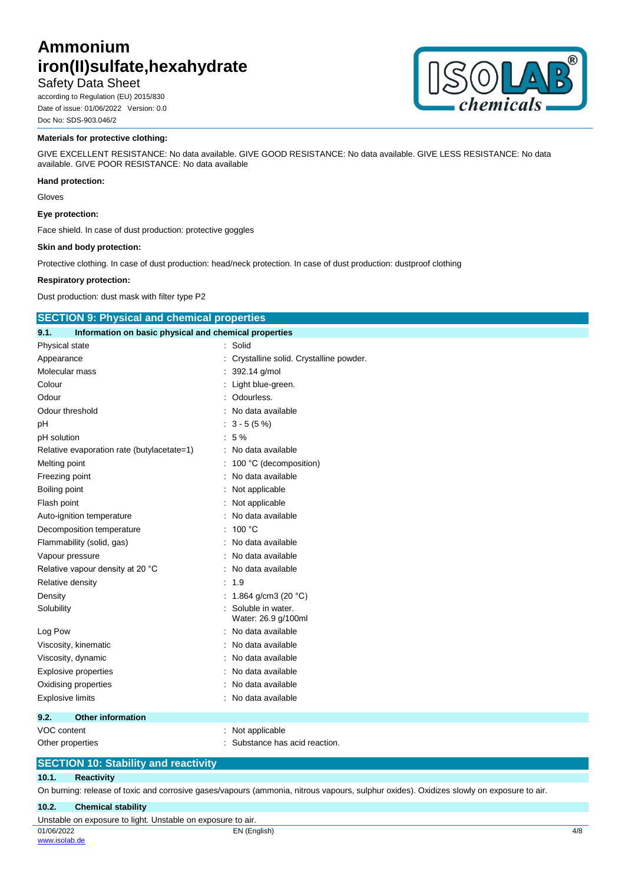Safety Data Sheet

according to Regulation (EU) 2015/830 Date of issue: 01/06/2022 Version: 0.0 Doc No: SDS-903.046/2



### **Materials for protective clothing:**

GIVE EXCELLENT RESISTANCE: No data available. GIVE GOOD RESISTANCE: No data available. GIVE LESS RESISTANCE: No data available. GIVE POOR RESISTANCE: No data available

#### **Hand protection:**

Gloves

### **Eye protection:**

Face shield. In case of dust production: protective goggles

### **Skin and body protection:**

Protective clothing. In case of dust production: head/neck protection. In case of dust production: dustproof clothing

## **Respiratory protection:**

Dust production: dust mask with filter type P2

| <b>SECTION 9: Physical and chemical properties</b>            |                                          |  |
|---------------------------------------------------------------|------------------------------------------|--|
| Information on basic physical and chemical properties<br>9.1. |                                          |  |
| Physical state                                                | Solid                                    |  |
| Appearance                                                    | Crystalline solid. Crystalline powder.   |  |
| Molecular mass                                                | 392.14 g/mol                             |  |
| Colour                                                        | Light blue-green.                        |  |
| Odour                                                         | Odourless.                               |  |
| Odour threshold                                               | No data available                        |  |
| pH                                                            | $3 - 5(5%)$                              |  |
| pH solution                                                   | 5 %                                      |  |
| Relative evaporation rate (butylacetate=1)                    | : No data available                      |  |
| Melting point                                                 | 100 °C (decomposition)                   |  |
| Freezing point                                                | No data available                        |  |
| Boiling point                                                 | Not applicable                           |  |
| Flash point                                                   | Not applicable                           |  |
| Auto-ignition temperature                                     | No data available                        |  |
| Decomposition temperature                                     | 100 °C                                   |  |
| Flammability (solid, gas)                                     | No data available                        |  |
| Vapour pressure                                               | No data available                        |  |
| Relative vapour density at 20 °C                              | No data available                        |  |
| Relative density                                              | 1.9                                      |  |
| Density                                                       | 1.864 g/cm3 (20 $°C$ )                   |  |
| Solubility                                                    | Soluble in water.<br>Water: 26.9 g/100ml |  |
| Log Pow                                                       | No data available                        |  |
| Viscosity, kinematic                                          | No data available                        |  |
| Viscosity, dynamic                                            | No data available                        |  |
| <b>Explosive properties</b>                                   | No data available                        |  |
| Oxidising properties                                          | No data available                        |  |
| <b>Explosive limits</b>                                       | No data available                        |  |
| <b>Other information</b><br>9.2.                              |                                          |  |
| VOC content                                                   | Not applicable                           |  |
| Other properties                                              | Substance has acid reaction.             |  |

## **SECTION 10: Stability and reactivity**

## **10.1. Reactivity**

On burning: release of toxic and corrosive gases/vapours (ammonia, nitrous vapours, sulphur oxides). Oxidizes slowly on exposure to air.

## **10.2. Chemical stability**

| Unstable on exposure to light. Unstable on exposure to air. |              |     |
|-------------------------------------------------------------|--------------|-----|
| 01/06/2022                                                  | EN (English) | 4/8 |
| www.isolab.de                                               |              |     |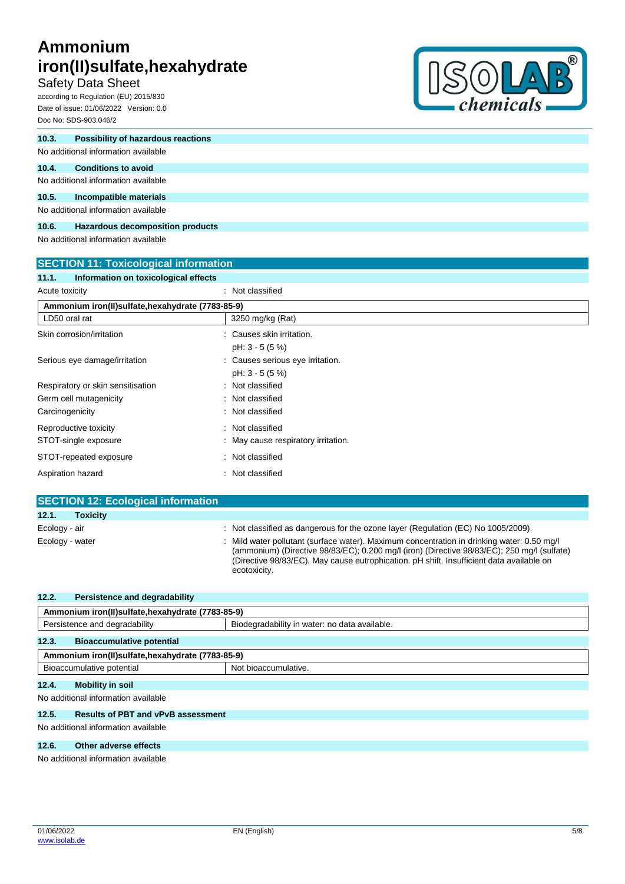## Safety Data Sheet

according to Regulation (EU) 2015/830 Date of issue: 01/06/2022 Version: 0.0 Doc No: SDS-903.046/2



| 10.3. | <b>Possibility of hazardous reactions</b> |
|-------|-------------------------------------------|
|       | No additional information available       |
| 10.4. | <b>Conditions to avoid</b>                |
|       | No additional information available       |
| 10.5. | Incompatible materials                    |
|       | No additional information available       |

### **10.6. Hazardous decomposition products**

No additional information available

## **SECTION 11: Toxicological information 11.1. Information on toxicological effects**

| .<br><b>INTERNATION ON LOXICOLOGICAL ENECLS</b>    |                                     |
|----------------------------------------------------|-------------------------------------|
| Acute toxicity                                     | : Not classified                    |
| Ammonium iron(II) sulfate, hexahydrate (7783-85-9) |                                     |
| LD50 oral rat                                      | 3250 mg/kg (Rat)                    |
| Skin corrosion/irritation                          | : Causes skin irritation.           |
|                                                    | $pH: 3 - 5 (5%)$                    |
| Serious eye damage/irritation                      | : Causes serious eye irritation.    |
|                                                    | pH: 3 - 5 (5 %)                     |
| Respiratory or skin sensitisation                  | : Not classified                    |
| Germ cell mutagenicity                             | : Not classified                    |
| Carcinogenicity                                    | : Not classified                    |
| Reproductive toxicity                              | : Not classified                    |
| STOT-single exposure                               | : May cause respiratory irritation. |
| STOT-repeated exposure                             | : Not classified                    |
| Aspiration hazard                                  | Not classified                      |

| <b>SECTION 12: Ecological information</b> |                                                                                                                                                                                                                                                                                                       |
|-------------------------------------------|-------------------------------------------------------------------------------------------------------------------------------------------------------------------------------------------------------------------------------------------------------------------------------------------------------|
| 12.1.<br><b>Toxicity</b>                  |                                                                                                                                                                                                                                                                                                       |
| Ecology - air                             | : Not classified as dangerous for the ozone layer (Regulation (EC) No 1005/2009).                                                                                                                                                                                                                     |
| Ecology - water                           | : Mild water pollutant (surface water). Maximum concentration in drinking water: 0.50 mg/l<br>(ammonium) (Directive 98/83/EC); 0.200 mg/l (iron) (Directive 98/83/EC); 250 mg/l (sulfate)<br>(Directive 98/83/EC). May cause eutrophication. pH shift. Insufficient data available on<br>ecotoxicity. |

| 12.2.<br>Persistence and degradability            |                                                   |  |  |
|---------------------------------------------------|---------------------------------------------------|--|--|
|                                                   | Ammonium iron(II)sulfate, hexahydrate (7783-85-9) |  |  |
| Persistence and degradability                     | Biodegradability in water: no data available.     |  |  |
| 12.3.<br><b>Bioaccumulative potential</b>         |                                                   |  |  |
| Ammonium iron(II)sulfate, hexahydrate (7783-85-9) |                                                   |  |  |
| Bioaccumulative potential                         | Not bioaccumulative.                              |  |  |
| 12.4.<br>Mobility in soil                         |                                                   |  |  |
| No additional information available               |                                                   |  |  |

## **12.5. Results of PBT and vPvB assessment**

No additional information available

## **12.6. Other adverse effects**

No additional information available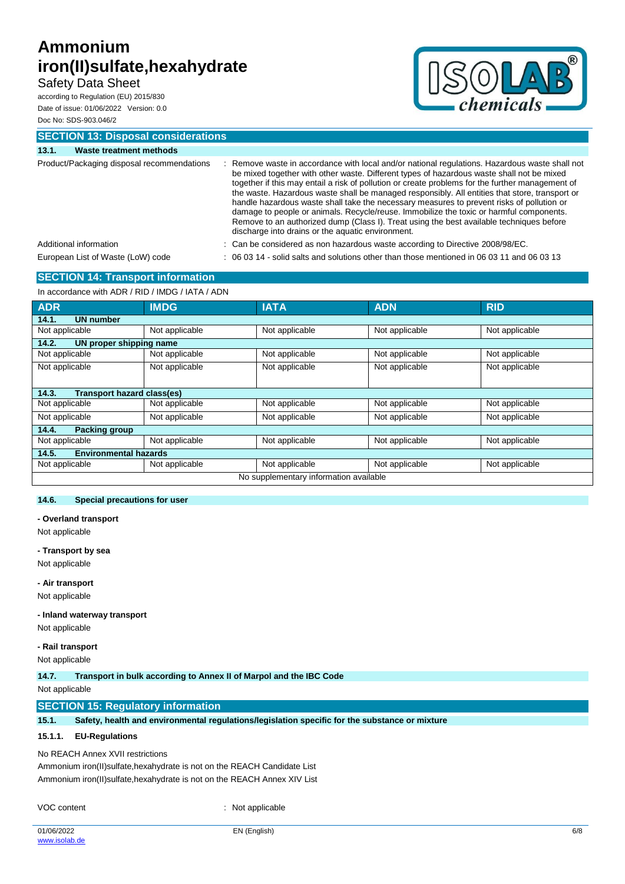## Safety Data Sheet

according to Regulation (EU) 2015/830 Date of issue: 01/06/2022 Version: 0.0 Doc No: SDS-903.046/2



## **SECTION 13: Disposal considerations 13.1. Waste treatment methods** Product/Packaging disposal recommendations : Remove waste in accordance with local and/or national regulations. Hazardous waste shall not be mixed together with other waste. Different types of hazardous waste shall not be mixed together if this may entail a risk of pollution or create problems for the further management of the waste. Hazardous waste shall be managed responsibly. All entities that store, transport or handle hazardous waste shall take the necessary measures to prevent risks of pollution or damage to people or animals. Recycle/reuse. Immobilize the toxic or harmful components. Remove to an authorized dump (Class I). Treat using the best available techniques before discharge into drains or the aquatic environment. Additional information : Can be considered as non hazardous waste according to Directive 2008/98/EC. European List of Waste (LoW) code : 06 03 14 - solid salts and solutions other than those mentioned in 06 03 11 and 06 03 13

#### **SECTION 14: Transport information**  $I = 100$   $I = 100$   $I = 100$   $I = 100$   $I = 100$

| IN accordance with ADR / RID / IMDG / IATA / ADN |                |                |                |                |  |  |
|--------------------------------------------------|----------------|----------------|----------------|----------------|--|--|
| <b>ADR</b>                                       | <b>IMDG</b>    | <b>IATA</b>    | <b>ADN</b>     | <b>RID</b>     |  |  |
| 14.1.<br><b>UN number</b>                        |                |                |                |                |  |  |
| Not applicable                                   | Not applicable | Not applicable | Not applicable | Not applicable |  |  |
| <b>UN proper shipping name</b><br>14.2.          |                |                |                |                |  |  |
| Not applicable                                   | Not applicable | Not applicable | Not applicable | Not applicable |  |  |
| Not applicable                                   | Not applicable | Not applicable | Not applicable | Not applicable |  |  |
|                                                  |                |                |                |                |  |  |
| Transport hazard class(es)<br>14.3.              |                |                |                |                |  |  |
| Not applicable                                   | Not applicable | Not applicable | Not applicable | Not applicable |  |  |
| Not applicable                                   | Not applicable | Not applicable | Not applicable | Not applicable |  |  |
| 14.4.<br><b>Packing group</b>                    |                |                |                |                |  |  |
| Not applicable                                   | Not applicable | Not applicable | Not applicable | Not applicable |  |  |
| <b>Environmental hazards</b><br>14.5.            |                |                |                |                |  |  |
| Not applicable                                   | Not applicable | Not applicable | Not applicable | Not applicable |  |  |
| No supplementary information available           |                |                |                |                |  |  |

#### **14.6. Special precautions for user**

#### **- Overland transport**

Not applicable

## **- Transport by sea** Not applicable

**- Air transport**

Not applicable

**- Inland waterway transport**

Not applicable

## **- Rail transport**

Not applicable

**14.7. Transport in bulk according to Annex II of Marpol and the IBC Code**

Not applicable

## **SECTION 15: Regulatory information**

**15.1. Safety, health and environmental regulations/legislation specific for the substance or mixture**

## **15.1.1. EU-Regulations**

No REACH Annex XVII restrictions

Ammonium iron(II)sulfate,hexahydrate is not on the REACH Candidate List Ammonium iron(II)sulfate,hexahydrate is not on the REACH Annex XIV List

VOC content : Not applicable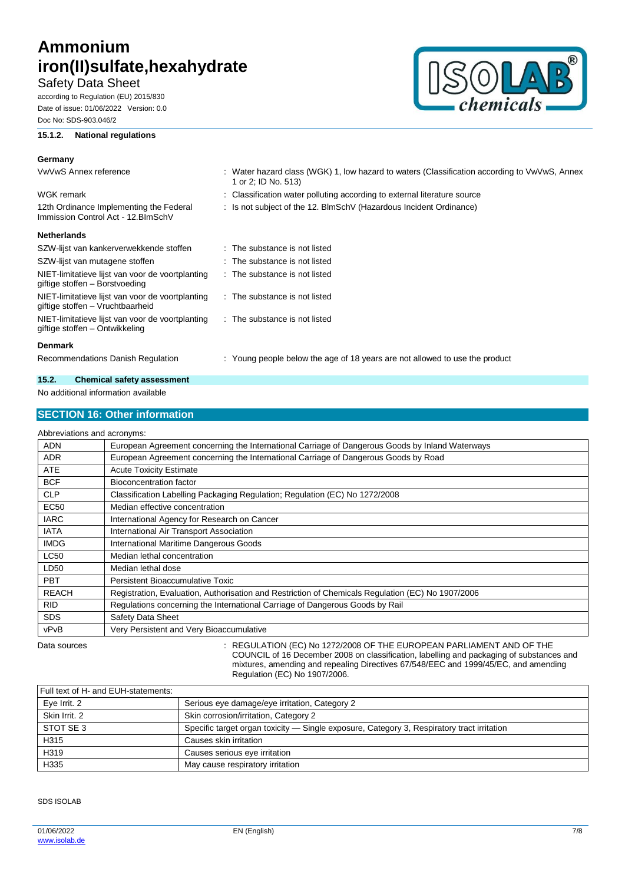Safety Data Sheet

according to Regulation (EU) 2015/830 Date of issue: 01/06/2022 Version: 0.0 Doc No: SDS-903.046/2

## **15.1.2. National regulations**



## **Germany**

VwVwS Annex reference : Water hazard class (WGK) 1, low hazard to waters (Classification according to VwVwS, Annex 1 or 2; ID No. 513) WGK remark in the source in the classification water polluting according to external literature source 12th Ordinance Implementing the Federal Immission Control Act - 12.BImSchV : Is not subject of the 12. BlmSchV (Hazardous Incident Ordinance)

#### **Netherlands**

| SZW-lijst van kankerverwekkende stoffen                                              | : The substance is not listed                                               |
|--------------------------------------------------------------------------------------|-----------------------------------------------------------------------------|
| SZW-lijst van mutagene stoffen                                                       | . The substance is not listed                                               |
| NIET-limitatieve lijst van voor de voortplanting<br>giftige stoffen - Borstvoeding   | : The substance is not listed                                               |
| NIET-limitatieve lijst van voor de voortplanting<br>giftige stoffen – Vruchtbaarheid | : The substance is not listed                                               |
| NIET-limitatieve lijst van voor de voortplanting<br>giftige stoffen – Ontwikkeling   | : The substance is not listed                                               |
| <b>Denmark</b>                                                                       |                                                                             |
| Recommendations Danish Regulation                                                    | : Young people below the age of 18 years are not allowed to use the product |

## **15.2. Chemical safety assessment**

No additional information available

## **SECTION 16: Other information**

|  | Abbreviations and acronyms: |  |  |
|--|-----------------------------|--|--|
|--|-----------------------------|--|--|

|              | AUVICYMUUIS AHU AUVIIIIIS.                                                                        |
|--------------|---------------------------------------------------------------------------------------------------|
| <b>ADN</b>   | European Agreement concerning the International Carriage of Dangerous Goods by Inland Waterways   |
| <b>ADR</b>   | European Agreement concerning the International Carriage of Dangerous Goods by Road               |
| <b>ATE</b>   | <b>Acute Toxicity Estimate</b>                                                                    |
| <b>BCF</b>   | Bioconcentration factor                                                                           |
| <b>CLP</b>   | Classification Labelling Packaging Regulation; Regulation (EC) No 1272/2008                       |
| <b>EC50</b>  | Median effective concentration                                                                    |
| <b>IARC</b>  | International Agency for Research on Cancer                                                       |
| <b>IATA</b>  | International Air Transport Association                                                           |
| <b>IMDG</b>  | International Maritime Dangerous Goods                                                            |
| <b>LC50</b>  | Median lethal concentration                                                                       |
| LD50         | Median lethal dose                                                                                |
| <b>PBT</b>   | Persistent Bioaccumulative Toxic                                                                  |
| <b>REACH</b> | Registration, Evaluation, Authorisation and Restriction of Chemicals Regulation (EC) No 1907/2006 |
| <b>RID</b>   | Regulations concerning the International Carriage of Dangerous Goods by Rail                      |
| <b>SDS</b>   | Safety Data Sheet                                                                                 |
| vPvB         | Very Persistent and Very Bioaccumulative                                                          |
|              | _______________                                                                                   |

Data sources : REGULATION (EC) No 1272/2008 OF THE EUROPEAN PARLIAMENT AND OF THE COUNCIL of 16 December 2008 on classification, labelling and packaging of substances and mixtures, amending and repealing Directives 67/548/EEC and 1999/45/EC, and amending Regulation (EC) No 1907/2006.

| Full text of H- and EUH-statements: |                                                                                            |  |
|-------------------------------------|--------------------------------------------------------------------------------------------|--|
| Eye Irrit. 2                        | Serious eye damage/eye irritation, Category 2                                              |  |
| Skin Irrit, 2                       | Skin corrosion/irritation, Category 2                                                      |  |
| STOT SE 3                           | Specific target organ toxicity — Single exposure, Category 3, Respiratory tract irritation |  |
| H315                                | Causes skin irritation                                                                     |  |
| H319                                | Causes serious eye irritation                                                              |  |
| H335                                | May cause respiratory irritation                                                           |  |

SDS ISOLAB